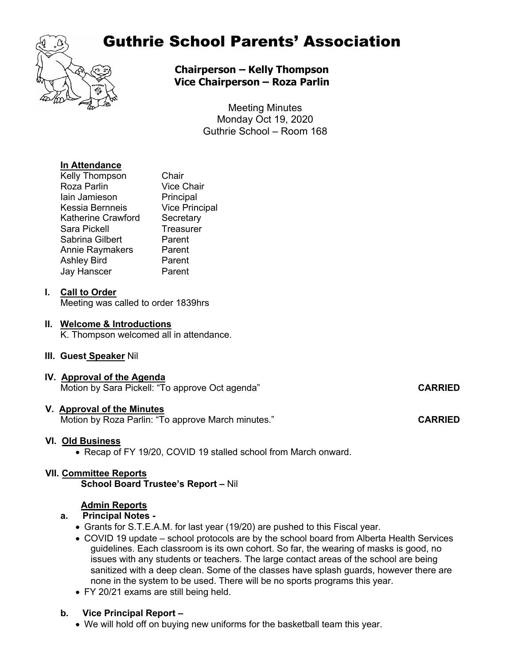

# Guthrie School Parents' Association

**Chairperson – Kelly Thompson Vice Chairperson – Roza Parlin**

> Meeting Minutes Monday Oct 19, 2020 Guthrie School – Room 168

# **In Attendance**

| Chair                 |
|-----------------------|
| <b>Vice Chair</b>     |
| Principal             |
| <b>Vice Principal</b> |
| Secretary             |
| Treasurer             |
| Parent                |
| Parent                |
| Parent                |
| Parent                |
|                       |

# **I. Call to Order**

Meeting was called to order 1839hrs

# **II. Welcome & Introductions**

K. Thompson welcomed all in attendance.

## **III. Guest Speaker** Nil

**IV. Approval of the Agenda** Motion by Sara Pickell: "To approve Oct agenda" **CARRIED**

## **V. Approval of the Minutes**

Motion by Roza Parlin: "To approve March minutes." **CARRIED** 

# **VI. Old Business**

• Recap of FY 19/20, COVID 19 stalled school from March onward.

# **VII. Committee Reports**

 **School Board Trustee's Report –** Nil

## **Admin Reports**

# **a. Principal Notes -**

- Grants for S.T.E.A.M. for last year (19/20) are pushed to this Fiscal year.
- COVID 19 update school protocols are by the school board from Alberta Health Services guidelines. Each classroom is its own cohort. So far, the wearing of masks is good, no issues with any students or teachers. The large contact areas of the school are being sanitized with a deep clean. Some of the classes have splash guards, however there are none in the system to be used. There will be no sports programs this year.
- FY 20/21 exams are still being held.

# **b***.* **Vice Principal Report** *–*

• We will hold off on buying new uniforms for the basketball team this year.